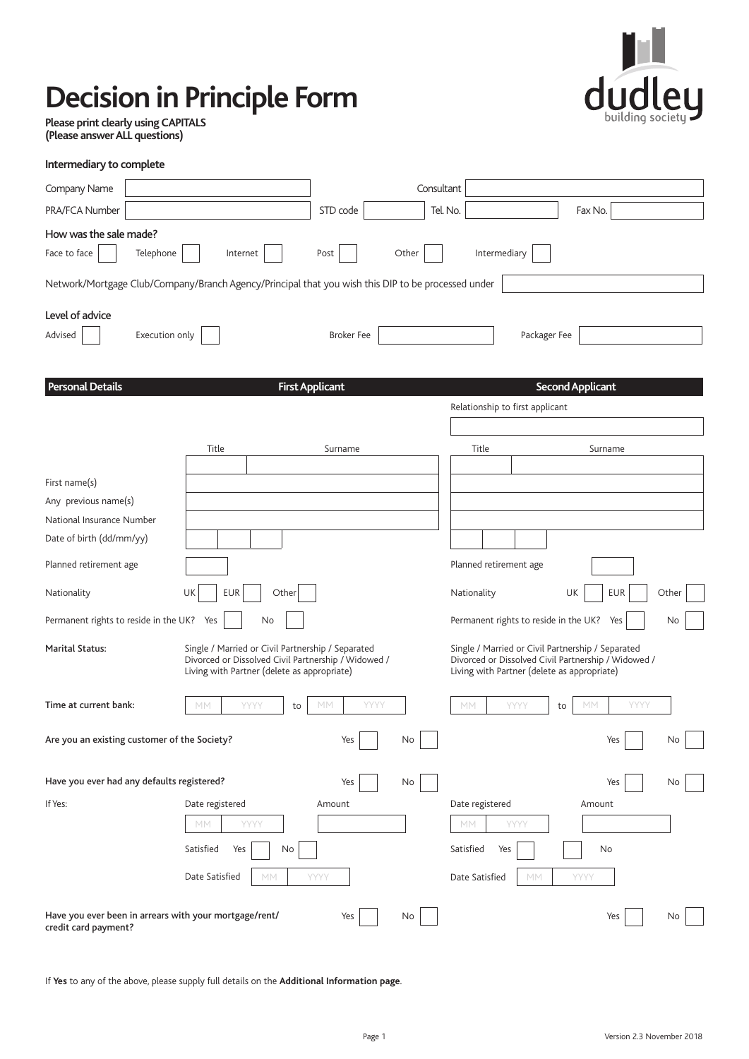# **Decision in Principle Form**



**Please print clearly using CAPITALS (Please answer ALL questions)** 

| Intermediary to complete                                                                           |                                                                                                                                                         |                        |                                                                                                                                                         |                         |  |
|----------------------------------------------------------------------------------------------------|---------------------------------------------------------------------------------------------------------------------------------------------------------|------------------------|---------------------------------------------------------------------------------------------------------------------------------------------------------|-------------------------|--|
| Company Name                                                                                       |                                                                                                                                                         |                        | Consultant                                                                                                                                              |                         |  |
| PRA/FCA Number                                                                                     |                                                                                                                                                         | STD code               | Tel. No.                                                                                                                                                | Fax No.                 |  |
| How was the sale made?                                                                             |                                                                                                                                                         |                        |                                                                                                                                                         |                         |  |
| Face to face<br>Telephone                                                                          | Internet                                                                                                                                                | Other<br>Post          | Intermediary                                                                                                                                            |                         |  |
| Network/Mortgage Club/Company/Branch Agency/Principal that you wish this DIP to be processed under |                                                                                                                                                         |                        |                                                                                                                                                         |                         |  |
| Level of advice                                                                                    |                                                                                                                                                         |                        |                                                                                                                                                         |                         |  |
| Execution only<br>Packager Fee<br>Advised<br><b>Broker Fee</b>                                     |                                                                                                                                                         |                        |                                                                                                                                                         |                         |  |
| <b>Personal Details</b>                                                                            |                                                                                                                                                         | <b>First Applicant</b> |                                                                                                                                                         | <b>Second Applicant</b> |  |
|                                                                                                    |                                                                                                                                                         |                        | Relationship to first applicant                                                                                                                         |                         |  |
|                                                                                                    |                                                                                                                                                         |                        |                                                                                                                                                         |                         |  |
|                                                                                                    | Title                                                                                                                                                   | Surname                | Title                                                                                                                                                   | Surname                 |  |
|                                                                                                    |                                                                                                                                                         |                        |                                                                                                                                                         |                         |  |
| First name(s)                                                                                      |                                                                                                                                                         |                        |                                                                                                                                                         |                         |  |
| Any previous name(s)                                                                               |                                                                                                                                                         |                        |                                                                                                                                                         |                         |  |
| National Insurance Number                                                                          |                                                                                                                                                         |                        |                                                                                                                                                         |                         |  |
| Date of birth (dd/mm/yy)                                                                           |                                                                                                                                                         |                        |                                                                                                                                                         |                         |  |
| Planned retirement age                                                                             |                                                                                                                                                         |                        | Planned retirement age                                                                                                                                  |                         |  |
| Nationality                                                                                        | <b>EUR</b><br>Other<br>UK                                                                                                                               |                        | Nationality                                                                                                                                             | UK<br>EUR<br>Other      |  |
| Permanent rights to reside in the UK? Yes                                                          | No                                                                                                                                                      |                        | Permanent rights to reside in the UK? Yes                                                                                                               | No                      |  |
| <b>Marital Status:</b>                                                                             | Single / Married or Civil Partnership / Separated<br>Divorced or Dissolved Civil Partnership / Widowed /<br>Living with Partner (delete as appropriate) |                        | Single / Married or Civil Partnership / Separated<br>Divorced or Dissolved Civil Partnership / Widowed /<br>Living with Partner (delete as appropriate) |                         |  |
| Time at current bank:                                                                              | MM<br>YYYY<br>to                                                                                                                                        | YYYY<br>МM             | МM<br>YYYY                                                                                                                                              | YYYY<br>MM<br>to        |  |
| Are you an existing customer of the Society?                                                       |                                                                                                                                                         | Yes<br>No              |                                                                                                                                                         | Yes<br>No               |  |
| Have you ever had any defaults registered?                                                         |                                                                                                                                                         | Yes<br>No              |                                                                                                                                                         | Yes<br>No               |  |
| If Yes:                                                                                            | Date registered                                                                                                                                         | Amount                 | Date registered                                                                                                                                         | Amount                  |  |
|                                                                                                    | YYYY<br>MM                                                                                                                                              |                        | YYYY<br>МM                                                                                                                                              |                         |  |
|                                                                                                    | Satisfied<br>No<br>Yes                                                                                                                                  |                        | Satisfied<br>Yes                                                                                                                                        | No                      |  |
|                                                                                                    | Date Satisfied<br>MM                                                                                                                                    | YYYY                   | Date Satisfied<br>MM                                                                                                                                    | YYYY                    |  |
| Have you ever been in arrears with your mortgage/rent/<br>credit card payment?                     |                                                                                                                                                         | Yes<br>No              |                                                                                                                                                         | Yes<br>No.              |  |

If **Yes** to any of the above, please supply full details on the **Additional Information page**.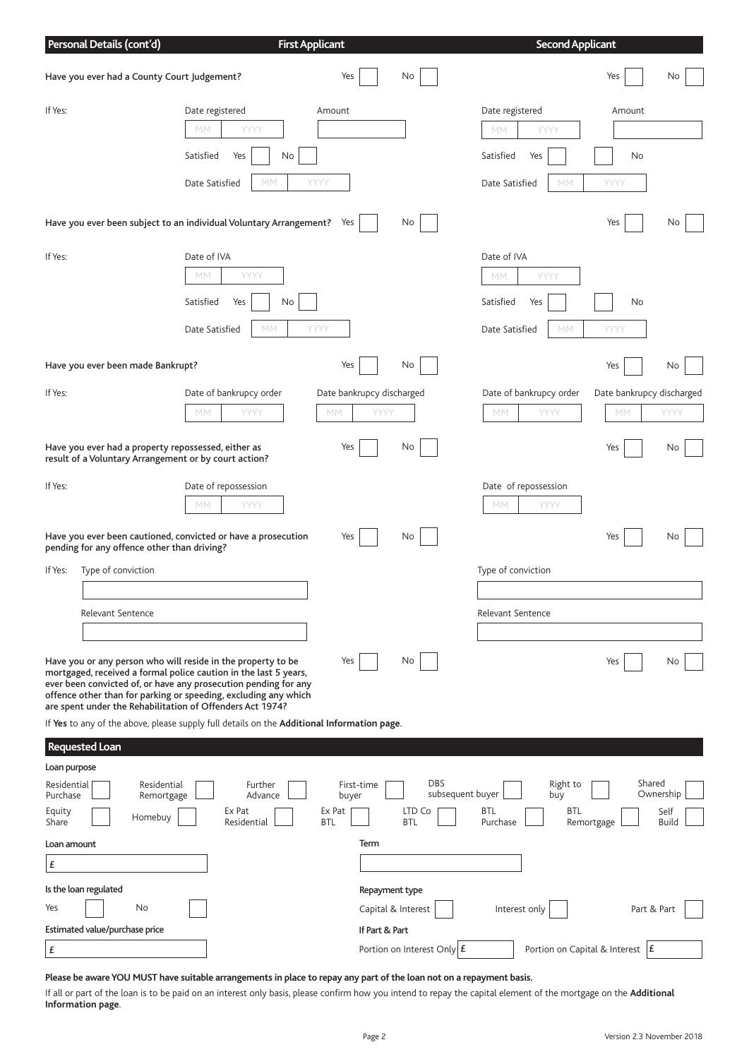|                                                            | Personal Details (cont'd)                                                                                    |                                                                                                                                                                                                                                                                                                                                     | <b>First Applicant</b>                      |                                                        | <b>Second Applicant</b>                                                   |                                     |                                   |
|------------------------------------------------------------|--------------------------------------------------------------------------------------------------------------|-------------------------------------------------------------------------------------------------------------------------------------------------------------------------------------------------------------------------------------------------------------------------------------------------------------------------------------|---------------------------------------------|--------------------------------------------------------|---------------------------------------------------------------------------|-------------------------------------|-----------------------------------|
|                                                            | Have you ever had a County Court Judgement?                                                                  |                                                                                                                                                                                                                                                                                                                                     | Yes                                         | No                                                     |                                                                           | Yes                                 | No                                |
| If Yes:                                                    |                                                                                                              | Date registered<br>YYYY<br>МM<br>Satisfied<br>Yes<br>No<br>Date Satisfied<br>МM                                                                                                                                                                                                                                                     | Amount<br>YYYY                              |                                                        | Date registered<br>YYYY<br>MМ<br>Satisfied<br>Yes<br>Date Satisfied<br>MM | Amount<br>No<br>YYYY                |                                   |
|                                                            |                                                                                                              | Have you ever been subject to an individual Voluntary Arrangement? Yes                                                                                                                                                                                                                                                              |                                             | No                                                     |                                                                           | Yes                                 | No                                |
| If Yes:                                                    |                                                                                                              | Date of IVA<br>YYYY<br>MМ<br>Satisfied<br>No<br>Yes<br>MM<br>Date Satisfied                                                                                                                                                                                                                                                         | YYYY                                        |                                                        | Date of IVA<br>YYYY<br>МM<br>Satisfied<br>Yes<br>Date Satisfied<br>MM     | No<br>YYYY                          |                                   |
|                                                            | Have you ever been made Bankrupt?                                                                            |                                                                                                                                                                                                                                                                                                                                     | Yes                                         | No                                                     |                                                                           | Yes                                 | No.                               |
| If Yes:                                                    |                                                                                                              | Date of bankrupcy order<br>YYYY<br>МM                                                                                                                                                                                                                                                                                               | Date bankrupcy discharged<br>YYYY<br>МM     |                                                        | Date of bankrupcy order<br>YYYY<br>МM                                     | Date bankrupcy discharged<br>МM     | YYYY                              |
|                                                            | Have you ever had a property repossessed, either as<br>result of a Voluntary Arrangement or by court action? |                                                                                                                                                                                                                                                                                                                                     | Yes                                         | No                                                     |                                                                           | Yes                                 | No.                               |
| If Yes:                                                    |                                                                                                              | Date of repossession<br>YYYY<br>МM                                                                                                                                                                                                                                                                                                  |                                             |                                                        | Date of repossession<br>YYYY<br>МM                                        |                                     |                                   |
|                                                            | pending for any offence other than driving?                                                                  | Have you ever been cautioned, convicted or have a prosecution                                                                                                                                                                                                                                                                       | Yes                                         | No                                                     |                                                                           | Yes                                 | No.                               |
| If Yes:                                                    | Type of conviction                                                                                           |                                                                                                                                                                                                                                                                                                                                     |                                             |                                                        | Type of conviction                                                        |                                     |                                   |
|                                                            | Relevant Sentence                                                                                            |                                                                                                                                                                                                                                                                                                                                     |                                             |                                                        | Relevant Sentence                                                         |                                     |                                   |
|                                                            |                                                                                                              | Have you or any person who will reside in the property to be<br>mortgaged, received a formal police caution in the last 5 years,<br>ever been convicted of, or have any prosecution pending for any<br>offence other than for parking or speeding, excluding any which<br>are spent under the Rehabilitation of Offenders Act 1974? | Yes                                         | No                                                     |                                                                           | Yes                                 | No.                               |
|                                                            |                                                                                                              | If Yes to any of the above, please supply full details on the Additional Information page.                                                                                                                                                                                                                                          |                                             |                                                        |                                                                           |                                     |                                   |
|                                                            | <b>Requested Loan</b>                                                                                        |                                                                                                                                                                                                                                                                                                                                     |                                             |                                                        |                                                                           |                                     |                                   |
| Loan purpose<br>Residential<br>Purchase<br>Equity<br>Share | Residential<br>Remortgage<br>Homebuy                                                                         | Further<br>Advance<br>Ex Pat<br>Residential                                                                                                                                                                                                                                                                                         | First-time<br>buyer<br>Ex Pat<br><b>BTL</b> | <b>DBS</b><br>subsequent buyer<br>LTD Co<br><b>BTL</b> | Right to<br>buy<br><b>BTL</b><br>BTL<br>Purchase                          | Shared<br>Remortgage                | Ownership<br>Self<br><b>Build</b> |
| Loan amount<br>£                                           |                                                                                                              |                                                                                                                                                                                                                                                                                                                                     | Term                                        |                                                        |                                                                           |                                     |                                   |
|                                                            | Is the loan regulated                                                                                        |                                                                                                                                                                                                                                                                                                                                     |                                             | Repayment type                                         |                                                                           |                                     |                                   |
| Yes                                                        | No                                                                                                           |                                                                                                                                                                                                                                                                                                                                     |                                             | Capital & Interest                                     | Interest only                                                             | Part & Part                         |                                   |
|                                                            | Estimated value/purchase price                                                                               |                                                                                                                                                                                                                                                                                                                                     | If Part & Part                              |                                                        |                                                                           |                                     |                                   |
| £                                                          |                                                                                                              |                                                                                                                                                                                                                                                                                                                                     |                                             | Portion on Interest Only $E$                           |                                                                           | Portion on Capital & Interest $ E $ |                                   |
|                                                            |                                                                                                              | Please be aware YOU MUST have suitable arrangements in place to repay any part of the loan not on a repayment basis.                                                                                                                                                                                                                |                                             |                                                        |                                                                           |                                     |                                   |

If all or part of the loan is to be paid on an interest only basis, please confirm how you intend to repay the capital element of the mortgage on the **Additional Information page**.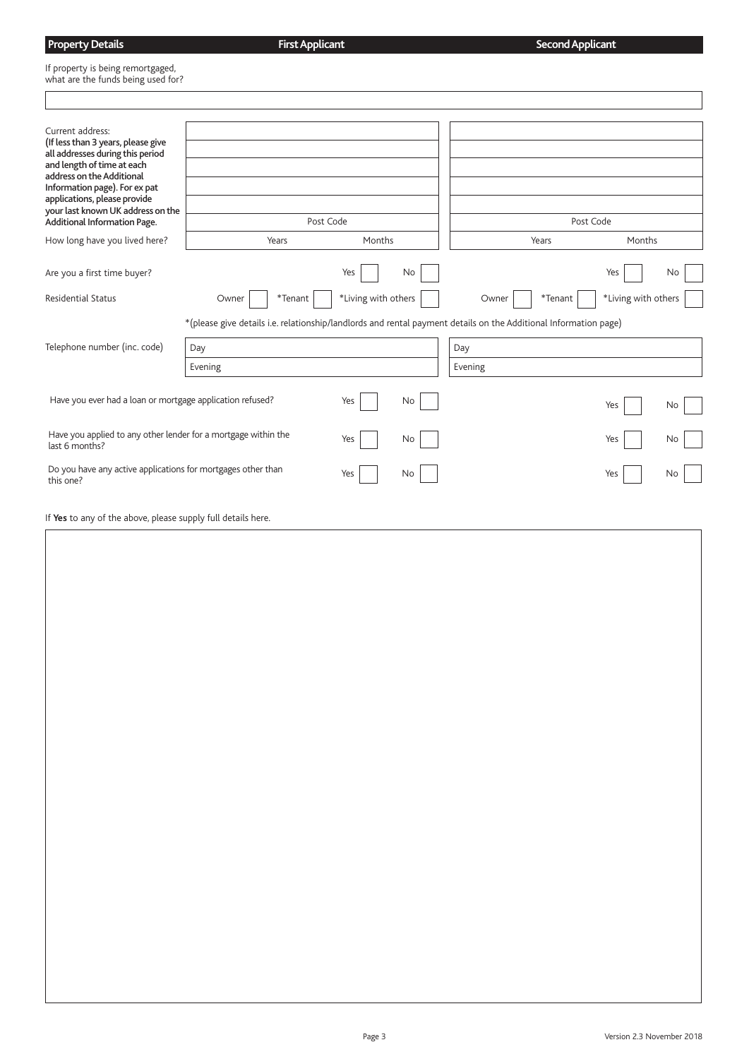## **Property Details** If property is being remortgaged, what are the funds being used for?  $\overline{\phantom{a}}$ **First Applicant Second Applicant**

| Current address:<br>(If less than 3 years, please give                    |                                                                                                                  |                     |    |         |         |                     |    |
|---------------------------------------------------------------------------|------------------------------------------------------------------------------------------------------------------|---------------------|----|---------|---------|---------------------|----|
| all addresses during this period                                          |                                                                                                                  |                     |    |         |         |                     |    |
| and length of time at each<br>address on the Additional                   |                                                                                                                  |                     |    |         |         |                     |    |
| Information page). For ex pat                                             |                                                                                                                  |                     |    |         |         |                     |    |
| applications, please provide<br>your last known UK address on the         |                                                                                                                  |                     |    |         |         |                     |    |
| <b>Additional Information Page.</b>                                       | Post Code                                                                                                        |                     |    |         |         | Post Code           |    |
| How long have you lived here?                                             | Years                                                                                                            | Months              |    |         | Years   | Months              |    |
|                                                                           |                                                                                                                  |                     |    |         |         |                     |    |
| Are you a first time buyer?                                               |                                                                                                                  | Yes                 | No |         |         | Yes                 | No |
| <b>Residential Status</b>                                                 | $*$ Tenant<br>Owner                                                                                              | *Living with others |    | Owner   | *Tenant | *Living with others |    |
|                                                                           | *(please give details i.e. relationship/landlords and rental payment details on the Additional Information page) |                     |    |         |         |                     |    |
| Telephone number (inc. code)                                              | Day                                                                                                              |                     |    | Day     |         |                     |    |
|                                                                           | Evening                                                                                                          |                     |    | Evening |         |                     |    |
|                                                                           |                                                                                                                  |                     |    |         |         |                     |    |
| Have you ever had a loan or mortgage application refused?                 |                                                                                                                  | Yes                 | No |         |         | Yes                 | No |
| Have you applied to any other lender for a mortgage within the            |                                                                                                                  | Yes                 | No |         |         | Yes                 | No |
| last 6 months?                                                            |                                                                                                                  |                     |    |         |         |                     |    |
| Do you have any active applications for mortgages other than<br>this one? |                                                                                                                  | Yes                 | No |         |         | Yes                 | No |
|                                                                           |                                                                                                                  |                     |    |         |         |                     |    |
| If Yes to any of the above, please supply full details here.              |                                                                                                                  |                     |    |         |         |                     |    |
|                                                                           |                                                                                                                  |                     |    |         |         |                     |    |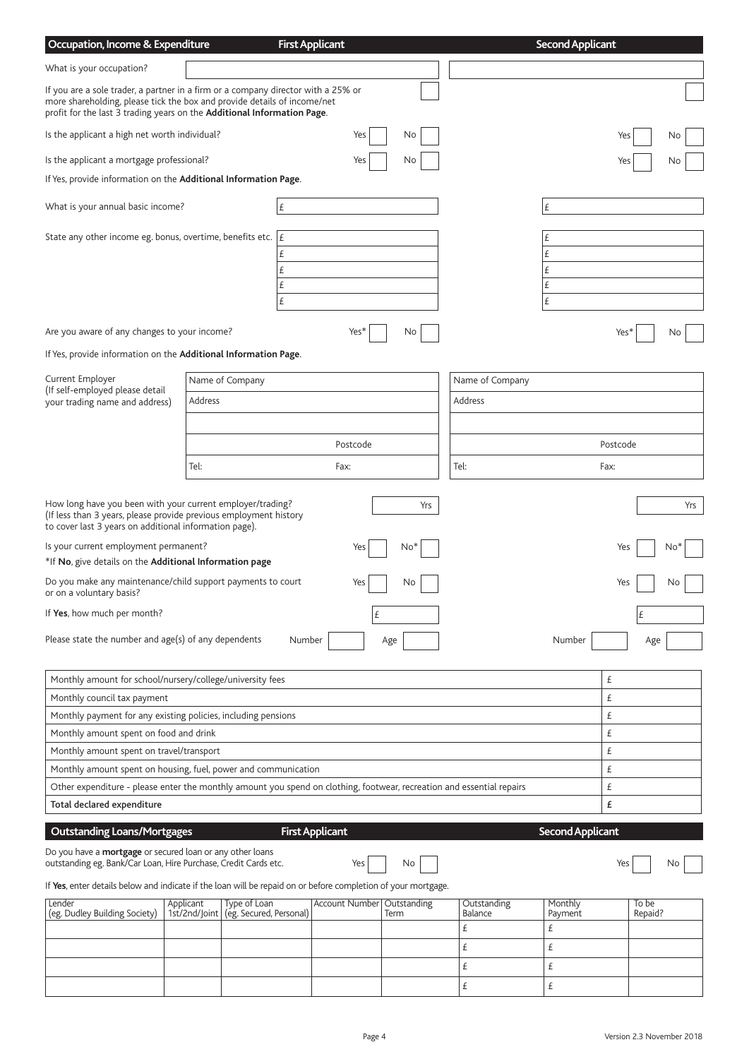| Occupation, Income & Expenditure                                                                                                                                                                                                         |                            |                                         | <b>First Applicant</b> |                               |      |             |                               | <b>Second Applicant</b> |          |                  |       |
|------------------------------------------------------------------------------------------------------------------------------------------------------------------------------------------------------------------------------------------|----------------------------|-----------------------------------------|------------------------|-------------------------------|------|-------------|-------------------------------|-------------------------|----------|------------------|-------|
| What is your occupation?                                                                                                                                                                                                                 |                            |                                         |                        |                               |      |             |                               |                         |          |                  |       |
| If you are a sole trader, a partner in a firm or a company director with a 25% or<br>more shareholding, please tick the box and provide details of income/net<br>profit for the last 3 trading years on the Additional Information Page. |                            |                                         |                        |                               |      |             |                               |                         |          |                  |       |
| Is the applicant a high net worth individual?                                                                                                                                                                                            |                            |                                         |                        | Yes                           |      | No          |                               |                         | Yes      |                  | No    |
| Is the applicant a mortgage professional?                                                                                                                                                                                                |                            |                                         |                        | Yes                           |      | No          |                               |                         | Yes      |                  | No    |
| If Yes, provide information on the Additional Information Page.                                                                                                                                                                          |                            |                                         |                        |                               |      |             |                               |                         |          |                  |       |
| What is your annual basic income?                                                                                                                                                                                                        |                            |                                         | £                      |                               |      |             |                               | Ι£                      |          |                  |       |
| State any other income eg. bonus, overtime, benefits etc. $ E $                                                                                                                                                                          |                            |                                         | £<br>£<br>£<br>£       |                               |      |             |                               | Ι£<br>£<br>£<br>Ι£<br>£ |          |                  |       |
| Are you aware of any changes to your income?                                                                                                                                                                                             |                            |                                         |                        | Yes <sup>*</sup>              |      | No          |                               |                         | Yes*     |                  | No.   |
| If Yes, provide information on the Additional Information Page.                                                                                                                                                                          |                            |                                         |                        |                               |      |             |                               |                         |          |                  |       |
| Current Employer                                                                                                                                                                                                                         |                            | Name of Company                         |                        |                               |      |             | Name of Company               |                         |          |                  |       |
| (If self-employed please detail<br>your trading name and address)                                                                                                                                                                        | Address                    |                                         |                        |                               |      |             | Address                       |                         |          |                  |       |
|                                                                                                                                                                                                                                          |                            |                                         |                        |                               |      |             |                               |                         |          |                  |       |
|                                                                                                                                                                                                                                          |                            |                                         |                        | Postcode                      |      |             |                               |                         | Postcode |                  |       |
|                                                                                                                                                                                                                                          |                            |                                         |                        |                               |      |             |                               |                         |          |                  |       |
|                                                                                                                                                                                                                                          | Tel:                       |                                         |                        | Fax:                          |      |             | Tel:                          |                         | Fax:     |                  |       |
| How long have you been with your current employer/trading?<br>(If less than 3 years, please provide previous employment history<br>to cover last 3 years on additional information page).                                                |                            |                                         |                        |                               |      | Yrs         |                               |                         |          |                  | Yrs   |
| Is your current employment permanent?<br>*If No, give details on the Additional Information page                                                                                                                                         |                            |                                         |                        | Yes                           |      | No*         |                               |                         | Yes      |                  | $No*$ |
| Do you make any maintenance/child support payments to court<br>or on a voluntary basis?                                                                                                                                                  |                            |                                         |                        | Yes                           |      | No          |                               |                         | Yes      |                  | Νo    |
| If Yes, how much per month?                                                                                                                                                                                                              |                            |                                         |                        |                               | £    |             |                               |                         |          | £                |       |
| Please state the number and age(s) of any dependents                                                                                                                                                                                     |                            |                                         | Number                 |                               | Age  |             |                               | Number                  |          | Age              |       |
| Monthly amount for school/nursery/college/university fees                                                                                                                                                                                |                            |                                         |                        |                               |      |             |                               |                         | £        |                  |       |
| Monthly council tax payment                                                                                                                                                                                                              |                            |                                         |                        |                               |      |             |                               |                         | £        |                  |       |
| Monthly payment for any existing policies, including pensions                                                                                                                                                                            |                            |                                         |                        |                               |      |             |                               |                         | £        |                  |       |
| Monthly amount spent on food and drink                                                                                                                                                                                                   |                            |                                         |                        |                               |      |             |                               |                         | £        |                  |       |
| Monthly amount spent on travel/transport                                                                                                                                                                                                 |                            |                                         |                        |                               |      |             |                               |                         | £        |                  |       |
| Monthly amount spent on housing, fuel, power and communication                                                                                                                                                                           |                            |                                         |                        |                               |      |             |                               |                         | £        |                  |       |
| Other expenditure - please enter the monthly amount you spend on clothing, footwear, recreation and essential repairs<br>Total declared expenditure                                                                                      |                            |                                         |                        |                               |      |             |                               |                         | £<br>£   |                  |       |
|                                                                                                                                                                                                                                          |                            |                                         |                        |                               |      |             |                               |                         |          |                  |       |
| <b>Outstanding Loans/Mortgages</b><br>Do you have a <b>mortgage</b> or secured loan or any other loans<br>outstanding eg. Bank/Car Loan, Hire Purchase, Credit Cards etc.                                                                |                            |                                         |                        | <b>First Applicant</b><br>Yes |      | No          |                               | <b>Second Applicant</b> | Yes      |                  | No.   |
| If Yes, enter details below and indicate if the loan will be repaid on or before completion of your mortgage.                                                                                                                            |                            |                                         |                        |                               |      |             |                               |                         |          |                  |       |
| Lender<br>(eg. Dudley Building Society)                                                                                                                                                                                                  | Applicant<br>1st/2nd/Joint | Type of Loan<br>(eg. Secured, Personal) |                        | <b>Account Number</b>         | Term | Outstanding | Outstanding<br><b>Balance</b> | Monthly<br>Payment      |          | To be<br>Repaid? |       |
|                                                                                                                                                                                                                                          |                            |                                         |                        |                               |      |             | £                             | £                       |          |                  |       |
|                                                                                                                                                                                                                                          |                            |                                         |                        |                               |      |             | £                             | £                       |          |                  |       |
|                                                                                                                                                                                                                                          |                            |                                         |                        |                               |      |             | £                             | £                       |          |                  |       |
|                                                                                                                                                                                                                                          |                            |                                         |                        |                               |      |             | £                             | £                       |          |                  |       |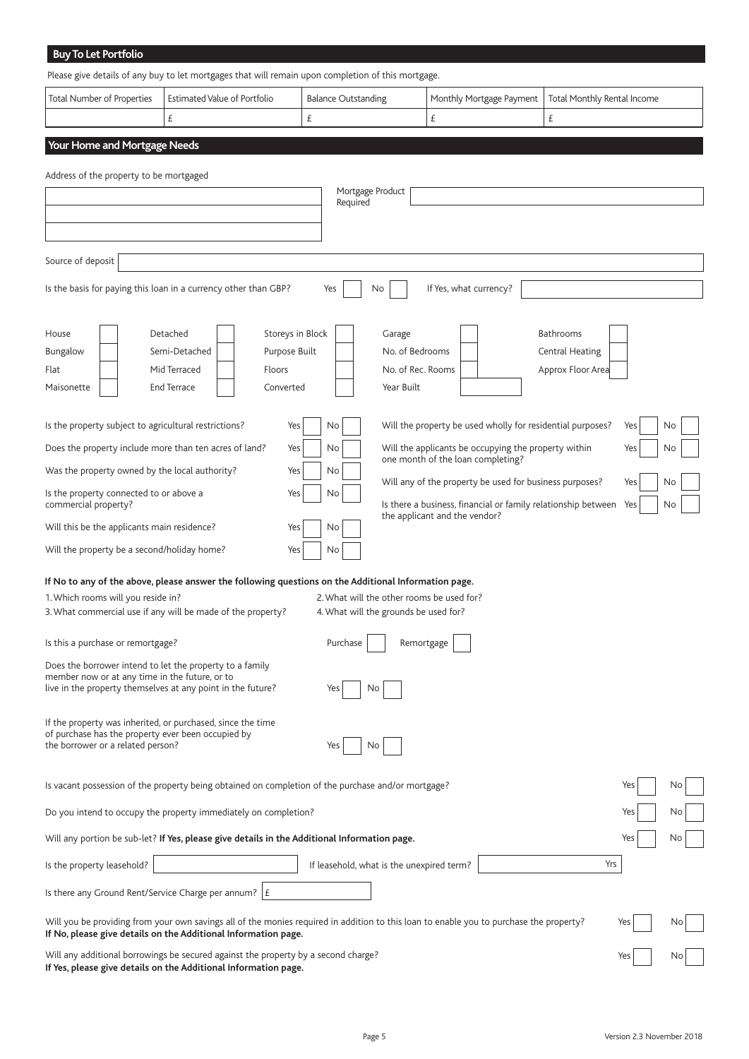| <b>Buy To Let Portfolio</b>                                                                                       |                                                                                                                                                                                                           |                                           |                                                                                           |                             |           |
|-------------------------------------------------------------------------------------------------------------------|-----------------------------------------------------------------------------------------------------------------------------------------------------------------------------------------------------------|-------------------------------------------|-------------------------------------------------------------------------------------------|-----------------------------|-----------|
|                                                                                                                   | Please give details of any buy to let mortgages that will remain upon completion of this mortgage.                                                                                                        |                                           |                                                                                           |                             |           |
| <b>Total Number of Properties</b>                                                                                 | <b>Estimated Value of Portfolio</b>                                                                                                                                                                       | <b>Balance Outstanding</b>                | Monthly Mortgage Payment                                                                  | Total Monthly Rental Income |           |
|                                                                                                                   | £                                                                                                                                                                                                         | £                                         | £                                                                                         | £                           |           |
| Your Home and Mortgage Needs                                                                                      |                                                                                                                                                                                                           |                                           |                                                                                           |                             |           |
| Address of the property to be mortgaged                                                                           |                                                                                                                                                                                                           |                                           |                                                                                           |                             |           |
|                                                                                                                   |                                                                                                                                                                                                           | Mortgage Product                          |                                                                                           |                             |           |
|                                                                                                                   |                                                                                                                                                                                                           | Required                                  |                                                                                           |                             |           |
|                                                                                                                   |                                                                                                                                                                                                           |                                           |                                                                                           |                             |           |
| Source of deposit                                                                                                 |                                                                                                                                                                                                           |                                           |                                                                                           |                             |           |
|                                                                                                                   | Is the basis for paying this loan in a currency other than GBP?                                                                                                                                           | Yes<br>No.                                | If Yes, what currency?                                                                    |                             |           |
|                                                                                                                   |                                                                                                                                                                                                           |                                           |                                                                                           |                             |           |
| House                                                                                                             | Storeys in Block<br>Detached                                                                                                                                                                              | Garage                                    |                                                                                           | <b>Bathrooms</b>            |           |
| Bungalow                                                                                                          | Semi-Detached<br>Purpose Built                                                                                                                                                                            | No. of Bedrooms                           |                                                                                           | Central Heating             |           |
| Flat                                                                                                              | Mid Terraced<br>Floors                                                                                                                                                                                    | No. of Rec. Rooms                         |                                                                                           | Approx Floor Area           |           |
| Maisonette                                                                                                        | <b>End Terrace</b><br>Converted                                                                                                                                                                           | Year Built                                |                                                                                           |                             |           |
|                                                                                                                   |                                                                                                                                                                                                           |                                           |                                                                                           |                             |           |
| Is the property subject to agricultural restrictions?                                                             | Yes                                                                                                                                                                                                       | No                                        | Will the property be used wholly for residential purposes?                                |                             | Yes<br>No |
| Does the property include more than ten acres of land?                                                            | Yes                                                                                                                                                                                                       | No                                        | Will the applicants be occupying the property within<br>one month of the loan completing? |                             | Yes<br>No |
| Was the property owned by the local authority?                                                                    | Yes                                                                                                                                                                                                       | No                                        | Will any of the property be used for business purposes?                                   |                             | Yes<br>No |
| Is the property connected to or above a<br>commercial property?                                                   | Yes                                                                                                                                                                                                       | No                                        | Is there a business, financial or family relationship between Yes                         |                             | No        |
| Will this be the applicants main residence?                                                                       | Yes                                                                                                                                                                                                       | No                                        | the applicant and the vendor?                                                             |                             |           |
| Will the property be a second/holiday home?                                                                       | Yes                                                                                                                                                                                                       | No                                        |                                                                                           |                             |           |
|                                                                                                                   | If No to any of the above, please answer the following questions on the Additional Information page.                                                                                                      |                                           |                                                                                           |                             |           |
| 1. Which rooms will you reside in?                                                                                |                                                                                                                                                                                                           | 2. What will the other rooms be used for? |                                                                                           |                             |           |
|                                                                                                                   | 3. What commercial use if any will be made of the property?                                                                                                                                               | 4. What will the grounds be used for?     |                                                                                           |                             |           |
| Is this a purchase or remortgage?                                                                                 |                                                                                                                                                                                                           | Purchase                                  | Remortgage                                                                                |                             |           |
| Does the borrower intend to let the property to a family                                                          |                                                                                                                                                                                                           |                                           |                                                                                           |                             |           |
| member now or at any time in the future, or to<br>live in the property themselves at any point in the future?     |                                                                                                                                                                                                           | No<br>Yes                                 |                                                                                           |                             |           |
|                                                                                                                   |                                                                                                                                                                                                           |                                           |                                                                                           |                             |           |
| If the property was inherited, or purchased, since the time<br>of purchase has the property ever been occupied by |                                                                                                                                                                                                           |                                           |                                                                                           |                             |           |
| the borrower or a related person?                                                                                 |                                                                                                                                                                                                           | No<br>Yes                                 |                                                                                           |                             |           |
|                                                                                                                   |                                                                                                                                                                                                           |                                           |                                                                                           |                             |           |
|                                                                                                                   | Is vacant possession of the property being obtained on completion of the purchase and/or mortgage?                                                                                                        |                                           |                                                                                           |                             | Yes<br>No |
|                                                                                                                   | Do you intend to occupy the property immediately on completion?                                                                                                                                           |                                           |                                                                                           |                             | Yes<br>No |
|                                                                                                                   | Will any portion be sub-let? If Yes, please give details in the Additional Information page.                                                                                                              |                                           |                                                                                           |                             | No<br>Yes |
| Is the property leasehold?                                                                                        |                                                                                                                                                                                                           | If leasehold, what is the unexpired term? |                                                                                           | Yrs                         |           |
| Is there any Ground Rent/Service Charge per annum? $ E $                                                          |                                                                                                                                                                                                           |                                           |                                                                                           |                             |           |
|                                                                                                                   |                                                                                                                                                                                                           |                                           |                                                                                           |                             |           |
|                                                                                                                   | Will you be providing from your own savings all of the monies required in addition to this loan to enable you to purchase the property?<br>If No, please give details on the Additional Information page. |                                           |                                                                                           |                             | Yes<br>No |
|                                                                                                                   | Will any additional borrowings be secured against the property by a second charge?                                                                                                                        |                                           |                                                                                           |                             | Yes<br>No |

Will any additional borrowings be secured against the property by a second charge? **If Yes, please give details on the Additional Information page.**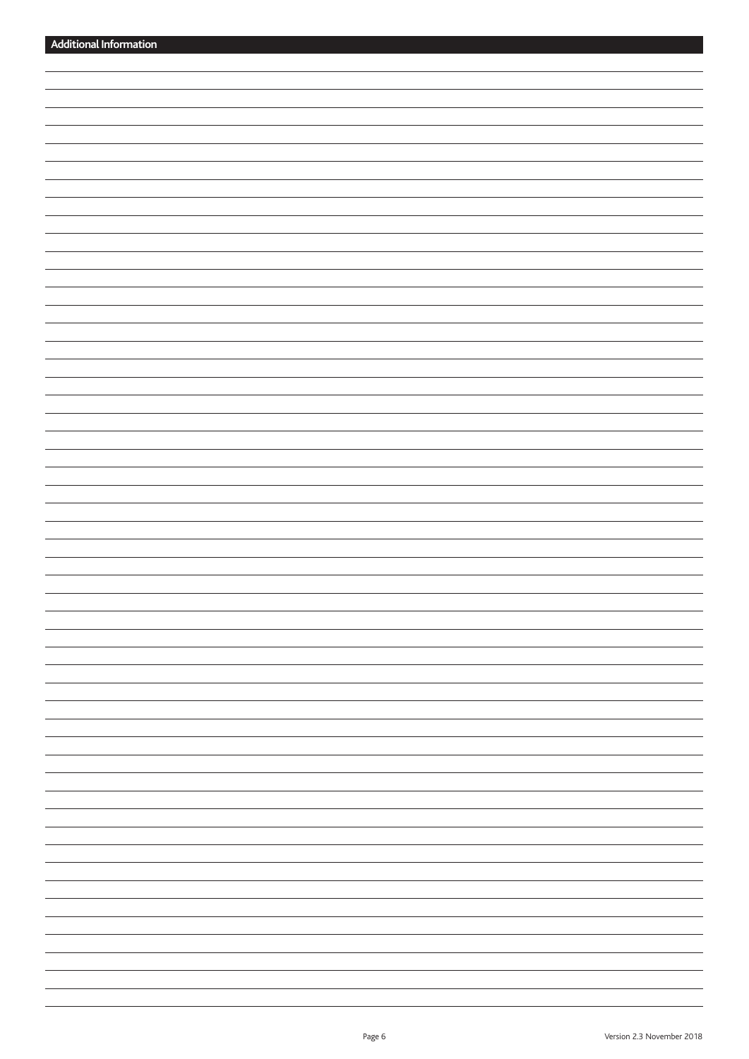| $\sim$ $\sim$                                                                                                                                                                                                                                                                                                                                                                                                                                                              |
|----------------------------------------------------------------------------------------------------------------------------------------------------------------------------------------------------------------------------------------------------------------------------------------------------------------------------------------------------------------------------------------------------------------------------------------------------------------------------|
| _______                                                                                                                                                                                                                                                                                                                                                                                                                                                                    |
|                                                                                                                                                                                                                                                                                                                                                                                                                                                                            |
| $\overline{\phantom{0}}$                                                                                                                                                                                                                                                                                                                                                                                                                                                   |
|                                                                                                                                                                                                                                                                                                                                                                                                                                                                            |
|                                                                                                                                                                                                                                                                                                                                                                                                                                                                            |
|                                                                                                                                                                                                                                                                                                                                                                                                                                                                            |
| $\overline{\phantom{a}}$                                                                                                                                                                                                                                                                                                                                                                                                                                                   |
|                                                                                                                                                                                                                                                                                                                                                                                                                                                                            |
| $\frac{1}{2} \left( \frac{1}{2} \right) \left( \frac{1}{2} \right) \left( \frac{1}{2} \right) \left( \frac{1}{2} \right) \left( \frac{1}{2} \right) \left( \frac{1}{2} \right) \left( \frac{1}{2} \right) \left( \frac{1}{2} \right) \left( \frac{1}{2} \right) \left( \frac{1}{2} \right) \left( \frac{1}{2} \right) \left( \frac{1}{2} \right) \left( \frac{1}{2} \right) \left( \frac{1}{2} \right) \left( \frac{1}{2} \right) \left( \frac{1}{2} \right) \left( \frac$ |
| -                                                                                                                                                                                                                                                                                                                                                                                                                                                                          |
|                                                                                                                                                                                                                                                                                                                                                                                                                                                                            |
| $\overline{\phantom{a}}$                                                                                                                                                                                                                                                                                                                                                                                                                                                   |
|                                                                                                                                                                                                                                                                                                                                                                                                                                                                            |
|                                                                                                                                                                                                                                                                                                                                                                                                                                                                            |
|                                                                                                                                                                                                                                                                                                                                                                                                                                                                            |
| $\overline{\phantom{a}}$                                                                                                                                                                                                                                                                                                                                                                                                                                                   |
| $\overline{\phantom{0}}$                                                                                                                                                                                                                                                                                                                                                                                                                                                   |
|                                                                                                                                                                                                                                                                                                                                                                                                                                                                            |
|                                                                                                                                                                                                                                                                                                                                                                                                                                                                            |
|                                                                                                                                                                                                                                                                                                                                                                                                                                                                            |
|                                                                                                                                                                                                                                                                                                                                                                                                                                                                            |
|                                                                                                                                                                                                                                                                                                                                                                                                                                                                            |
| $\overline{\phantom{0}}$                                                                                                                                                                                                                                                                                                                                                                                                                                                   |
|                                                                                                                                                                                                                                                                                                                                                                                                                                                                            |
|                                                                                                                                                                                                                                                                                                                                                                                                                                                                            |
| $\sim$ $\sim$ $\sim$ $\sim$                                                                                                                                                                                                                                                                                                                                                                                                                                                |
| <u> The Communication of the Communication of the Communication of the Communication of the Communication of the Communication of the Communication of the Communication of the Communication of the Communication of the Commun</u>                                                                                                                                                                                                                                       |
|                                                                                                                                                                                                                                                                                                                                                                                                                                                                            |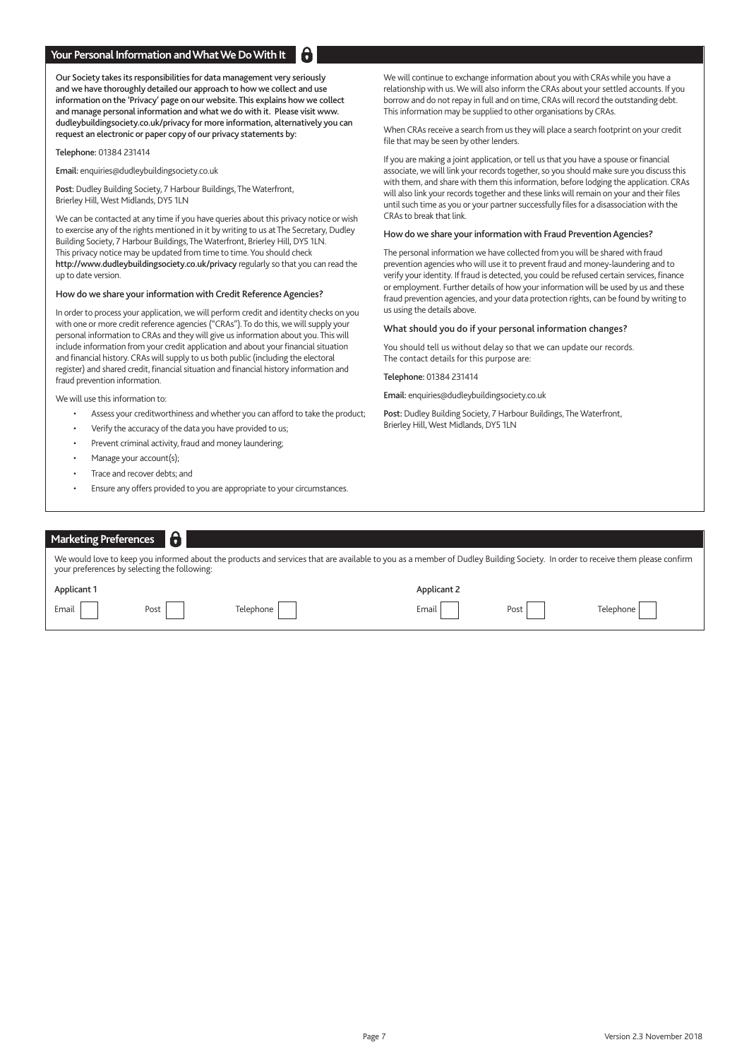### **Your Personal Information and What We Do With It**

Our Society takes its responsibilities for data management very seriously and we have thoroughly detailed our approach to how we collect and use information on the 'Privacy' page on our website. This explains how we collect and manage personal information and what we do with it. Please visit www. dudleybuildingsociety.co.uk/privacy for more information, alternatively you can request an electronic or paper copy of our privacy statements by:

Telephone: 01384 231414

Email: enquiries@dudleybuildingsociety.co.uk

Post: Dudley Building Society, 7 Harbour Buildings, The Waterfront, Brierley Hill, West Midlands, DY5 1LN

We can be contacted at any time if you have queries about this privacy notice or wish to exercise any of the rights mentioned in it by writing to us at The Secretary, Dudley Building Society, 7 Harbour Buildings, The Waterfront, Brierley Hill, DY5 1LN. This privacy notice may be updated from time to time. You should check http://www.dudleybuildingsociety.co.uk/privacy regularly so that you can read the up to date version.

#### How do we share your information with Credit Reference Agencies?

In order to process your application, we will perform credit and identity checks on you with one or more credit reference agencies ("CRAs"). To do this, we will supply your personal information to CRAs and they will give us information about you. This will include information from your credit application and about your financial situation and financial history. CRAs will supply to us both public (including the electoral register) and shared credit, financial situation and financial history information and fraud prevention information.

We will use this information to:

- Assess your creditworthiness and whether you can afford to take the product;
- Verify the accuracy of the data you have provided to us;
- Prevent criminal activity, fraud and money laundering;
- Manage your account(s);
- Trace and recover debts; and
- Ensure any offers provided to you are appropriate to your circumstances.

We will continue to exchange information about you with CRAs while you have a relationship with us. We will also inform the CRAs about your settled accounts. If you borrow and do not repay in full and on time, CRAs will record the outstanding debt. This information may be supplied to other organisations by CRAs.

When CRAs receive a search from us they will place a search footprint on your credit file that may be seen by other lenders.

If you are making a joint application, or tell us that you have a spouse or financial associate, we will link your records together, so you should make sure you discuss this with them, and share with them this information, before lodging the application. CRAs will also link your records together and these links will remain on your and their files until such time as you or your partner successfully files for a disassociation with the CRAs to break that link.

#### How do we share your information with Fraud Prevention Agencies?

The personal information we have collected from you will be shared with fraud prevention agencies who will use it to prevent fraud and money-laundering and to verify your identity. If fraud is detected, you could be refused certain services, finance or employment. Further details of how your information will be used by us and these fraud prevention agencies, and your data protection rights, can be found by writing to us using the details above.

### What should you do if your personal information changes?

You should tell us without delay so that we can update our records. The contact details for this purpose are:

Telephone: 01384 231414

Email: enquiries@dudleybuildingsociety.co.uk

Post: Dudley Building Society, 7 Harbour Buildings, The Waterfront, Brierley Hill, West Midlands, DY5 1LN

| Marketing Preferences                                                                                                                                                                                                        |      |           |             |      |           |  |  |
|------------------------------------------------------------------------------------------------------------------------------------------------------------------------------------------------------------------------------|------|-----------|-------------|------|-----------|--|--|
| We would love to keep you informed about the products and services that are available to you as a member of Dudley Building Society. In order to receive them please confirm<br>your preferences by selecting the following: |      |           |             |      |           |  |  |
| <b>Applicant 1</b>                                                                                                                                                                                                           |      |           | Applicant 2 |      |           |  |  |
| Email                                                                                                                                                                                                                        | Post | Telephone | Email       | Post | Telephone |  |  |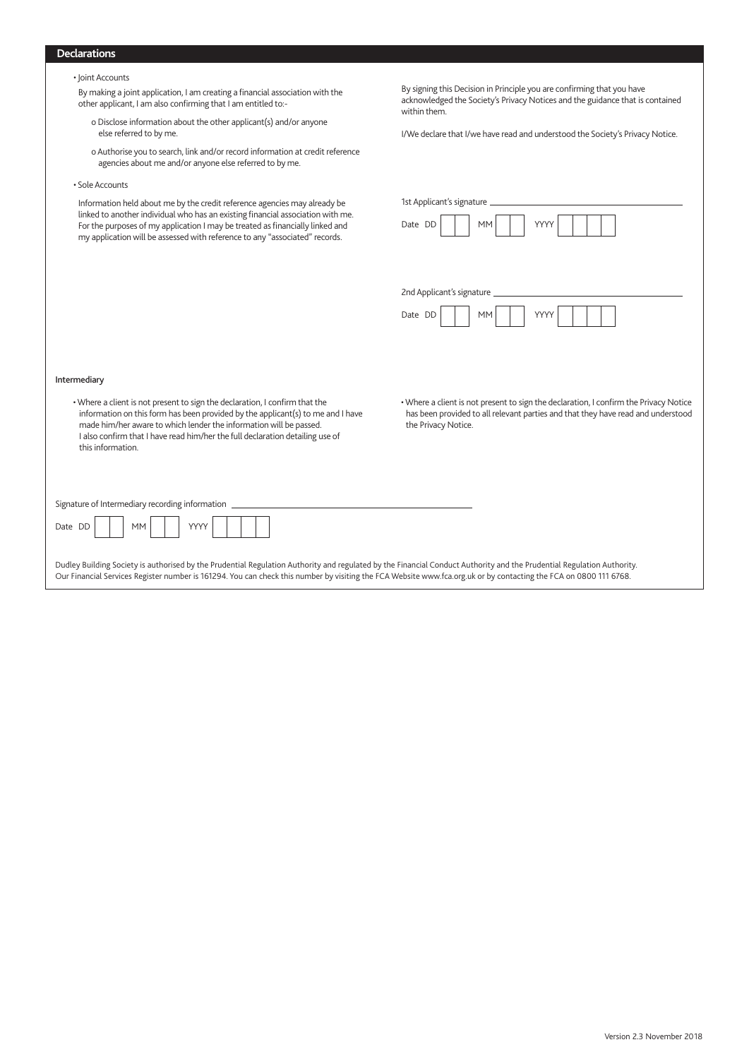## **Declarations**

|  |  | • Joint Accounts |  |
|--|--|------------------|--|
|--|--|------------------|--|

 By making a joint application, I am creating a financial association with the other applicant, I am also confirming that I am entitled to:-

- o Disclose information about the other applicant(s) and/or anyone else referred to by me.
- o Authorise you to search, link and/or record information at credit reference agencies about me and/or anyone else referred to by me.
- Sole Accounts

Intermediary

this information.

Information held about me by the credit reference agencies may already be linked to another individual who has an existing financial association with me. For the purposes of my application I may be treated as financially linked and my application will be assessed with reference to any "associated" records.

• Where a client is not present to sign the declaration, I confirm that the information on this form has been provided by the applicant(s) to me and I have made him/her aware to which lender the information will be passed. I also confirm that I have read him/her the full declaration detailing use of

By signing this Decision in Principle you are confirming that you have acknowledged the Society's Privacy Notices and the guidance that is contained within them.

I/We declare that I/we have read and understood the Society's Privacy Notice.

|         | 1st Applicant's signature                                                                                                                                                                        |      |  |
|---------|--------------------------------------------------------------------------------------------------------------------------------------------------------------------------------------------------|------|--|
| Date DD | <b>MM</b>                                                                                                                                                                                        | YYYY |  |
|         |                                                                                                                                                                                                  |      |  |
|         |                                                                                                                                                                                                  |      |  |
|         | 2nd Applicant's signature _                                                                                                                                                                      |      |  |
| Date DD | <b>MM</b>                                                                                                                                                                                        | YYYY |  |
|         |                                                                                                                                                                                                  |      |  |
|         |                                                                                                                                                                                                  |      |  |
|         |                                                                                                                                                                                                  |      |  |
|         | . Where a client is not present to sign the declaration, I confirm the Privacy Notice<br>has been provided to all relevant parties and that they have read and understood<br>the Privacy Notice. |      |  |

Signature of Intermediary recording information

| AN A<br>$\sim$<br>$D - 4 -$<br>-<br><br>. |  |
|-------------------------------------------|--|
|-------------------------------------------|--|

Dudley Building Society is authorised by the Prudential Regulation Authority and regulated by the Financial Conduct Authority and the Prudential Regulation Authority. Our Financial Services Register number is 161294. You can check this number by visiting the FCA Website www.fca.org.uk or by contacting the FCA on 0800 111 6768.